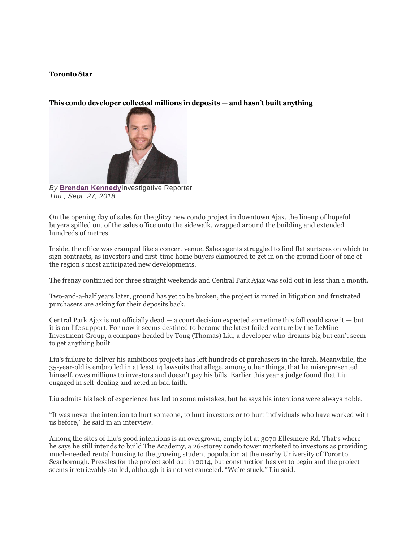## **Toronto Star**

## **This condo developer collected millions in deposits — and hasn't built anything**



*By* **[Brendan Kennedy](https://www.thestar.com/authors.kennedy_brendan.html)**Investigative Reporter *Thu., Sept. 27, 2018*

On the opening day of sales for the glitzy new condo project in downtown Ajax, the lineup of hopeful buyers spilled out of the sales office onto the sidewalk, wrapped around the building and extended hundreds of metres.

Inside, the office was cramped like a concert venue. Sales agents struggled to find flat surfaces on which to sign contracts, as investors and first-time home buyers clamoured to get in on the ground floor of one of the region's most anticipated new developments.

The frenzy continued for three straight weekends and Central Park Ajax was sold out in less than a month.

Two-and-a-half years later, ground has yet to be broken, the project is mired in litigation and frustrated purchasers are asking for their deposits back.

Central Park Ajax is not officially dead — a court decision expected sometime this fall could save it — but it is on life support. For now it seems destined to become the latest failed venture by the LeMine Investment Group, a company headed by Tong (Thomas) Liu, a developer who dreams big but can't seem to get anything built.

Liu's failure to deliver his ambitious projects has left hundreds of purchasers in the lurch. Meanwhile, the 35-year-old is embroiled in at least 14 lawsuits that allege, among other things, that he misrepresented himself, owes millions to investors and doesn't pay his bills. Earlier this year a judge found that Liu engaged in self-dealing and acted in bad faith.

Liu admits his lack of experience has led to some mistakes, but he says his intentions were always noble.

"It was never the intention to hurt someone, to hurt investors or to hurt individuals who have worked with us before," he said in an interview.

Among the sites of Liu's good intentions is an overgrown, empty lot at 3070 Ellesmere Rd. That's where he says he still intends to build The Academy, a 26-storey condo tower marketed to investors as providing much-needed rental housing to the growing student population at the nearby University of Toronto Scarborough. Presales for the project sold out in 2014, but construction has yet to begin and the project seems irretrievably stalled, although it is not yet canceled. "We're stuck," Liu said.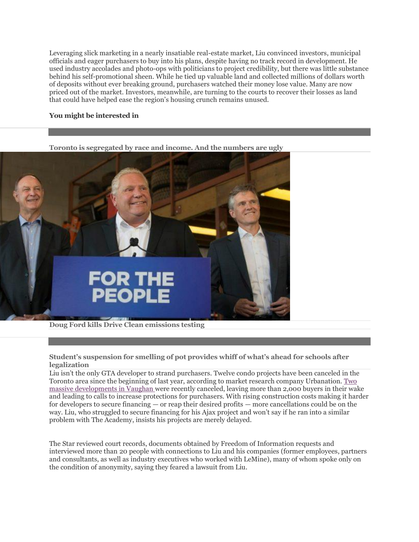Leveraging slick marketing in a nearly insatiable real-estate market, Liu convinced investors, municipal officials and eager purchasers to buy into his plans, despite having no track record in development. He used industry accolades and photo-ops with politicians to project credibility, but there was little substance behind his self-promotional sheen. While he tied up valuable land and collected millions of dollars worth of deposits without ever breaking ground, purchasers watched their money lose value. Many are now priced out of the market. Investors, meanwhile, are turning to the courts to recover their losses as land that could have helped ease the region's housing crunch remains unused.

## **You might be interested in**



**[Doug Ford kills Drive Clean emissions testing](https://www.thestar.com/news/queenspark/2018/09/27/premier-doug-ford-ending-drive-clean-plan.html?li_source=LI&li_medium=star_web_ymbii)**

**[Student's suspension for smelling of pot provides whiff of what's ahead for schools after](https://www.thestar.com/news/cannabis/2018/09/29/students-suspension-for-smelling-of-pot-provides-whiff-of-whats-ahead-for-schools.html?li_source=LI&li_medium=star_web_ymbii)  [legalization](https://www.thestar.com/news/cannabis/2018/09/29/students-suspension-for-smelling-of-pot-provides-whiff-of-whats-ahead-for-schools.html?li_source=LI&li_medium=star_web_ymbii)**

Liu isn't the only GTA developer to strand purchasers. Twelve condo projects have been canceled in the Toronto area since the beginning of last year, according to market research company Urbanation. [Two](https://www.thestar.com/business/real_estate/2018/09/19/second-major-vaughan-condo-project-killed.html)  [massive developments in Vaughan](https://www.thestar.com/business/real_estate/2018/09/19/second-major-vaughan-condo-project-killed.html) were recently canceled, leaving more than 2,000 buyers in their wake and leading to calls to increase protections for purchasers. With rising construction costs making it harder for developers to secure financing — or reap their desired profits — more cancellations could be on the way. Liu, who struggled to secure financing for his Ajax project and won't say if he ran into a similar problem with The Academy, insists his projects are merely delayed.

The Star reviewed court records, documents obtained by Freedom of Information requests and interviewed more than 20 people with connections to Liu and his companies (former employees, partners and consultants, as well as industry executives who worked with LeMine), many of whom spoke only on the condition of anonymity, saying they feared a lawsuit from Liu.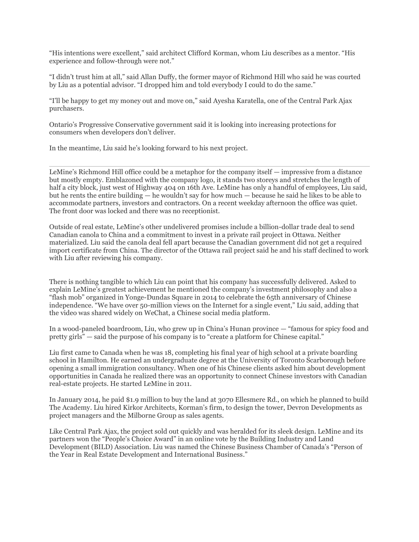"His intentions were excellent," said architect Clifford Korman, whom Liu describes as a mentor. "His experience and follow-through were not."

"I didn't trust him at all," said Allan Duffy, the former mayor of Richmond Hill who said he was courted by Liu as a potential advisor. "I dropped him and told everybody I could to do the same."

"I'll be happy to get my money out and move on," said Ayesha Karatella, one of the Central Park Ajax purchasers.

Ontario's Progressive Conservative government said it is looking into increasing protections for consumers when developers don't deliver.

In the meantime, Liu said he's looking forward to his next project.

LeMine's Richmond Hill office could be a metaphor for the company itself — impressive from a distance but mostly empty. Emblazoned with the company logo, it stands two storeys and stretches the length of half a city block, just west of Highway 404 on 16th Ave. LeMine has only a handful of employees, Liu said, but he rents the entire building — he wouldn't say for how much — because he said he likes to be able to accommodate partners, investors and contractors. On a recent weekday afternoon the office was quiet. The front door was locked and there was no receptionist.

Outside of real estate, LeMine's other undelivered promises include a billion-dollar trade deal to send Canadian canola to China and a commitment to invest in a private rail project in Ottawa. Neither materialized. Liu said the canola deal fell apart because the Canadian government did not get a required import certificate from China. The director of the Ottawa rail project said he and his staff declined to work with Liu after reviewing his company.

There is nothing tangible to which Liu can point that his company has successfully delivered. Asked to explain LeMine's greatest achievement he mentioned the company's investment philosophy and also a "flash mob" organized in Yonge-Dundas Square in 2014 to celebrate the 65th anniversary of Chinese independence. "We have over 50-million views on the Internet for a single event," Liu said, adding that the video was shared widely on WeChat, a Chinese social media platform.

In a wood-paneled boardroom, Liu, who grew up in China's Hunan province — "famous for spicy food and pretty girls" — said the purpose of his company is to "create a platform for Chinese capital."

Liu first came to Canada when he was 18, completing his final year of high school at a private boarding school in Hamilton. He earned an undergraduate degree at the University of Toronto Scarborough before opening a small immigration consultancy. When one of his Chinese clients asked him about development opportunities in Canada he realized there was an opportunity to connect Chinese investors with Canadian real-estate projects. He started LeMine in 2011.

In January 2014, he paid \$1.9 million to buy the land at 3070 Ellesmere Rd., on which he planned to build The Academy. Liu hired Kirkor Architects, Korman's firm, to design the tower, Devron Developments as project managers and the Milborne Group as sales agents.

Like Central Park Ajax, the project sold out quickly and was heralded for its sleek design. LeMine and its partners won the "People's Choice Award" in an online vote by the Building Industry and Land Development (BILD) Association. Liu was named the Chinese Business Chamber of Canada's "Person of the Year in Real Estate Development and International Business."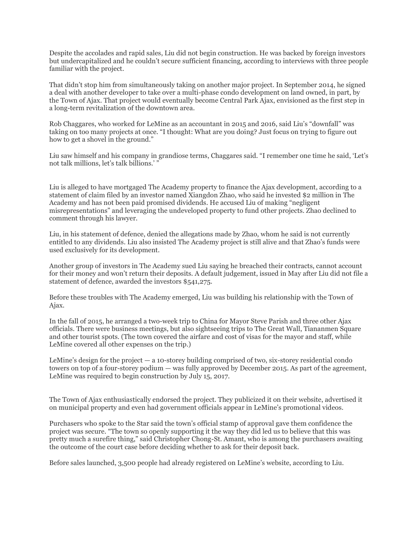Despite the accolades and rapid sales, Liu did not begin construction. He was backed by foreign investors but undercapitalized and he couldn't secure sufficient financing, according to interviews with three people familiar with the project.

That didn't stop him from simultaneously taking on another major project. In September 2014, he signed a deal with another developer to take over a multi-phase condo development on land owned, in part, by the Town of Ajax. That project would eventually become Central Park Ajax, envisioned as the first step in a long-term revitalization of the downtown area.

Rob Chaggares, who worked for LeMine as an accountant in 2015 and 2016, said Liu's "downfall" was taking on too many projects at once. "I thought: What are you doing? Just focus on trying to figure out how to get a shovel in the ground."

Liu saw himself and his company in grandiose terms, Chaggares said. "I remember one time he said, 'Let's not talk millions, let's talk billions.' "

Liu is alleged to have mortgaged The Academy property to finance the Ajax development, according to a statement of claim filed by an investor named Xiangdon Zhao, who said he invested \$2 million in The Academy and has not been paid promised dividends. He accused Liu of making "negligent misrepresentations" and leveraging the undeveloped property to fund other projects. Zhao declined to comment through his lawyer.

Liu, in his statement of defence, denied the allegations made by Zhao, whom he said is not currently entitled to any dividends. Liu also insisted The Academy project is still alive and that Zhao's funds were used exclusively for its development.

Another group of investors in The Academy sued Liu saying he breached their contracts, cannot account for their money and won't return their deposits. A default judgement, issued in May after Liu did not file a statement of defence, awarded the investors \$541,275.

Before these troubles with The Academy emerged, Liu was building his relationship with the Town of Ajax.

In the fall of 2015, he arranged a two-week trip to China for Mayor Steve Parish and three other Ajax officials. There were business meetings, but also sightseeing trips to The Great Wall, Tiananmen Square and other tourist spots. (The town covered the airfare and cost of visas for the mayor and staff, while LeMine covered all other expenses on the trip.)

LeMine's design for the project — a 10-storey building comprised of two, six-storey residential condo towers on top of a four-storey podium — was fully approved by December 2015. As part of the agreement, LeMine was required to begin construction by July 15, 2017.

The Town of Ajax enthusiastically endorsed the project. They publicized it on their website, advertised it on municipal property and even had government officials appear in LeMine's promotional videos.

Purchasers who spoke to the Star said the town's official stamp of approval gave them confidence the project was secure. "The town so openly supporting it the way they did led us to believe that this was pretty much a surefire thing," said Christopher Chong-St. Amant, who is among the purchasers awaiting the outcome of the court case before deciding whether to ask for their deposit back.

Before sales launched, 3,500 people had already registered on LeMine's website, according to Liu.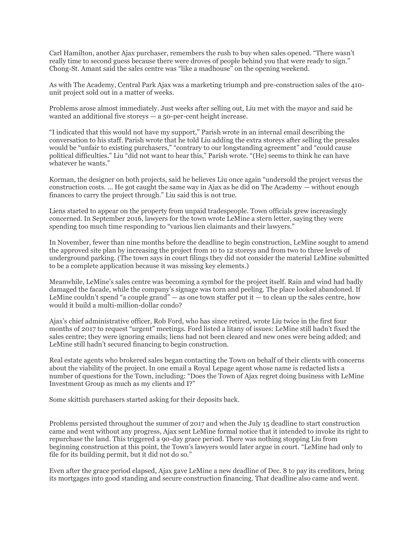Carl Hamilton, another Ajax purchaser, remembers the rush to buy when sales opened. "There wasn't really time to second guess because there were droves of people behind you that were ready to sign." Chong-St. Amant said the sales centre was "like a madhouse" on the opening weekend.

As with The Academy, Central Park Ajax was a marketing triumph and pre-construction sales of the 410 unit project sold out in a matter of weeks.

Problems arose almost immediately. Just weeks after selling out, Liu met with the mayor and said he wanted an additional five storeys — a 50-per-cent height increase.

"I indicated that this would not have my support," Parish wrote in an internal email describing the conversation to his staff. Parish wrote that he told Liu adding the extra storeys after selling the presales would be "unfair to existing purchasers," "contrary to our longstanding agreement" and "could cause political difficulties." Liu "did not want to hear this," Parish wrote. "(He) seems to think he can have whatever he wants."

Korman, the designer on both projects, said he believes Liu once again "undersold the project versus the construction costs. ... He got caught the same way in Ajax as he did on The Academy — without enough finances to carry the project through." Liu said this is not true.

Liens started to appear on the property from unpaid tradespeople. Town officials grew increasingly concerned. In September 2016, lawyers for the town wrote LeMine a stern letter, saying they were spending too much time responding to "various lien claimants and their lawyers."

In November, fewer than nine months before the deadline to begin construction, LeMine sought to amend the approved site plan by increasing the project from 10 to 12 storeys and from two to three levels of underground parking. (The town says in court filings they did not consider the material LeMine submitted to be a complete application because it was missing key elements.)

Meanwhile, LeMine's sales centre was becoming a symbol for the project itself. Rain and wind had badly damaged the facade, while the company's signage was torn and peeling. The place looked abandoned. If LeMine couldn't spend "a couple grand" — as one town staffer put it — to clean up the sales centre, how would it build a multi-million-dollar condo?

Ajax's chief administrative officer, Rob Ford, who has since retired, wrote Liu twice in the first four months of 2017 to request "urgent" meetings. Ford listed a litany of issues: LeMine still hadn't fixed the sales centre; they were ignoring emails; liens had not been cleared and new ones were being added; and LeMine still hadn't secured financing to begin construction.

Real estate agents who brokered sales began contacting the Town on behalf of their clients with concerns about the viability of the project. In one email a Royal Lepage agent whose name is redacted lists a number of questions for the Town, including: "Does the Town of Ajax regret doing business with LeMine Investment Group as much as my clients and I?"

Some skittish purchasers started asking for their deposits back.

Problems persisted throughout the summer of 2017 and when the July 15 deadline to start construction came and went without any progress, Ajax sent LeMine formal notice that it intended to invoke its right to repurchase the land. This triggered a 90-day grace period. There was nothing stopping Liu from beginning construction at this point, the Town's lawyers would later argue in court. "LeMine had only to file for its building permit, but it did not do so."

Even after the grace period elapsed, Ajax gave LeMine a new deadline of Dec. 8 to pay its creditors, bring its mortgages into good standing and secure construction financing. That deadline also came and went.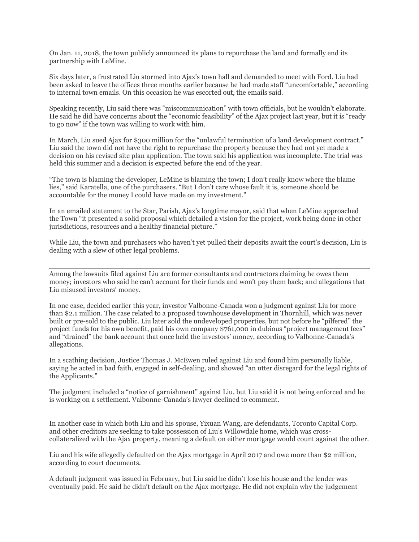On Jan. 11, 2018, the town publicly announced its plans to repurchase the land and formally end its partnership with LeMine.

Six days later, a frustrated Liu stormed into Ajax's town hall and demanded to meet with Ford. Liu had been asked to leave the offices three months earlier because he had made staff "uncomfortable," according to internal town emails. On this occasion he was escorted out, the emails said.

Speaking recently, Liu said there was "miscommunication" with town officials, but he wouldn't elaborate. He said he did have concerns about the "economic feasibility" of the Ajax project last year, but it is "ready to go now" if the town was willing to work with him.

In March, Liu sued Ajax for \$300 million for the "unlawful termination of a land development contract." Liu said the town did not have the right to repurchase the property because they had not yet made a decision on his revised site plan application. The town said his application was incomplete. The trial was held this summer and a decision is expected before the end of the year.

"The town is blaming the developer, LeMine is blaming the town; I don't really know where the blame lies," said Karatella, one of the purchasers. "But I don't care whose fault it is, someone should be accountable for the money I could have made on my investment."

In an emailed statement to the Star, Parish, Ajax's longtime mayor, said that when LeMine approached the Town "it presented a solid proposal which detailed a vision for the project, work being done in other jurisdictions, resources and a healthy financial picture."

While Liu, the town and purchasers who haven't yet pulled their deposits await the court's decision, Liu is dealing with a slew of other legal problems.

Among the lawsuits filed against Liu are former consultants and contractors claiming he owes them money; investors who said he can't account for their funds and won't pay them back; and allegations that Liu misused investors' money.

In one case, decided earlier this year, investor Valbonne-Canada won a judgment against Liu for more than \$2.1 million. The case related to a proposed townhouse development in Thornhill, which was never built or pre-sold to the public. Liu later sold the undeveloped properties, but not before he "pilfered" the project funds for his own benefit, paid his own company \$761,000 in dubious "project management fees" and "drained" the bank account that once held the investors' money, according to Valbonne-Canada's allegations.

In a scathing decision, Justice Thomas J. McEwen ruled against Liu and found him personally liable, saying he acted in bad faith, engaged in self-dealing, and showed "an utter disregard for the legal rights of the Applicants."

The judgment included a "notice of garnishment" against Liu, but Liu said it is not being enforced and he is working on a settlement. Valbonne-Canada's lawyer declined to comment.

In another case in which both Liu and his spouse, Yixuan Wang, are defendants, Toronto Capital Corp. and other creditors are seeking to take possession of Liu's Willowdale home, which was crosscollateralized with the Ajax property, meaning a default on either mortgage would count against the other.

Liu and his wife allegedly defaulted on the Ajax mortgage in April 2017 and owe more than \$2 million, according to court documents.

A default judgment was issued in February, but Liu said he didn't lose his house and the lender was eventually paid. He said he didn't default on the Ajax mortgage. He did not explain why the judgement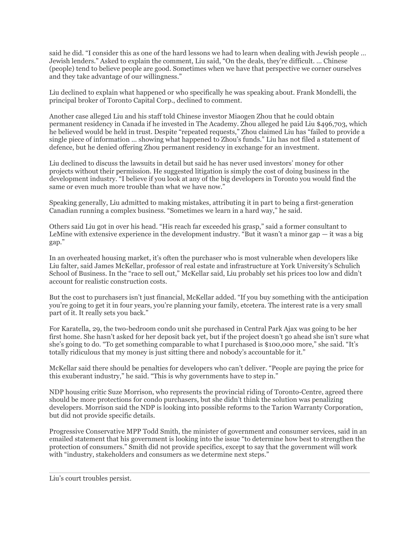said he did. "I consider this as one of the hard lessons we had to learn when dealing with Jewish people … Jewish lenders." Asked to explain the comment, Liu said, "On the deals, they're difficult. … Chinese (people) tend to believe people are good. Sometimes when we have that perspective we corner ourselves and they take advantage of our willingness."

Liu declined to explain what happened or who specifically he was speaking about. Frank Mondelli, the principal broker of Toronto Capital Corp., declined to comment.

Another case alleged Liu and his staff told Chinese investor Miaogen Zhou that he could obtain permanent residency in Canada if he invested in The Academy. Zhou alleged he paid Liu \$496,703, which he believed would be held in trust. Despite "repeated requests," Zhou claimed Liu has "failed to provide a single piece of information ... showing what happened to Zhou's funds." Liu has not filed a statement of defence, but he denied offering Zhou permanent residency in exchange for an investment.

Liu declined to discuss the lawsuits in detail but said he has never used investors' money for other projects without their permission. He suggested litigation is simply the cost of doing business in the development industry. "I believe if you look at any of the big developers in Toronto you would find the same or even much more trouble than what we have now."

Speaking generally, Liu admitted to making mistakes, attributing it in part to being a first-generation Canadian running a complex business. "Sometimes we learn in a hard way," he said.

Others said Liu got in over his head. "His reach far exceeded his grasp," said a former consultant to LeMine with extensive experience in the development industry. "But it wasn't a minor gap — it was a big gap."

In an overheated housing market, it's often the purchaser who is most vulnerable when developers like Liu falter, said James McKellar, professor of real estate and infrastructure at York University's Schulich School of Business. In the "race to sell out," McKellar said, Liu probably set his prices too low and didn't account for realistic construction costs.

But the cost to purchasers isn't just financial, McKellar added. "If you buy something with the anticipation you're going to get it in four years, you're planning your family, etcetera. The interest rate is a very small part of it. It really sets you back."

For Karatella, 29, the two-bedroom condo unit she purchased in Central Park Ajax was going to be her first home. She hasn't asked for her deposit back yet, but if the project doesn't go ahead she isn't sure what she's going to do. "To get something comparable to what I purchased is \$100,000 more," she said. "It's totally ridiculous that my money is just sitting there and nobody's accountable for it."

McKellar said there should be penalties for developers who can't deliver. "People are paying the price for this exuberant industry," he said. "This is why governments have to step in."

NDP housing critic Suze Morrison, who represents the provincial riding of Toronto-Centre, agreed there should be more protections for condo purchasers, but she didn't think the solution was penalizing developers. Morrison said the NDP is looking into possible reforms to the Tarion Warranty Corporation, but did not provide specific details.

Progressive Conservative MPP Todd Smith, the minister of government and consumer services, said in an emailed statement that his government is looking into the issue "to determine how best to strengthen the protection of consumers." Smith did not provide specifics, except to say that the government will work with "industry, stakeholders and consumers as we determine next steps."